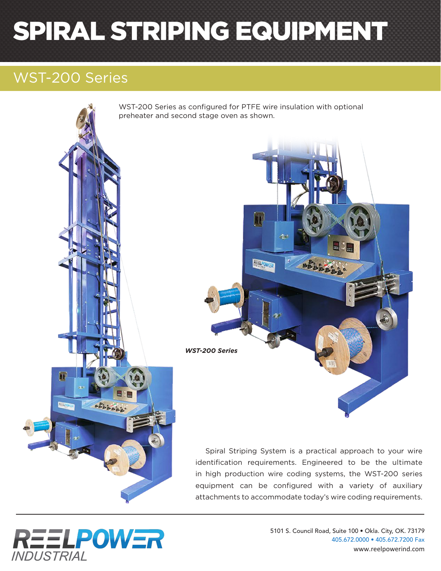# SPIRAL STRIPING EQUIPMENT

### WST-200 Series

WST-200 Series as configured for PTFE wire insulation with optional preheater and second stage oven as shown. 리니 **REELFOWE** *WST-200 Series* **SALABAS** Spiral Striping System is a practical approach to your wire

identification requirements. Engineered to be the ultimate in high production wire coding systems, the WST-200 series equipment can be configured with a variety of auxiliary attachments to accommodate today's wire coding requirements.